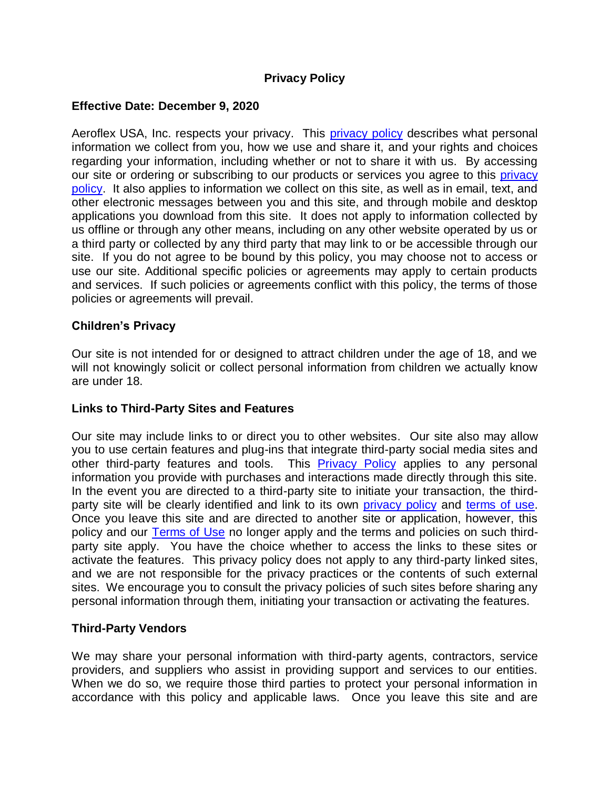# **Privacy Policy**

### **Effective Date: December 9, 2020**

Aeroflex USA, Inc. respects your privacy. This [privacy policy](https://www.aeroflexusa.com/wp-content/uploads/2020/12/Aeroflex_Privacy_Policy_120920.pdf) describes what personal information we collect from you, how we use and share it, and your rights and choices regarding your information, including whether or not to share it with us. By accessing our site or ordering or subscribing to our products or services you agree to this privacy [policy.](https://www.aeroflexusa.com/wp-content/uploads/2020/12/Aeroflex_Privacy_Policy_120920.pdf) It also applies to information we collect on this site, as well as in email, text, and other electronic messages between you and this site, and through mobile and desktop applications you download from this site. It does not apply to information collected by us offline or through any other means, including on any other website operated by us or a third party or collected by any third party that may link to or be accessible through our site. If you do not agree to be bound by this policy, you may choose not to access or use our site. Additional specific policies or agreements may apply to certain products and services. If such policies or agreements conflict with this policy, the terms of those policies or agreements will prevail.

#### **Children's Privacy**

Our site is not intended for or designed to attract children under the age of 18, and we will not knowingly solicit or collect personal information from children we actually know are under 18.

#### **Links to Third-Party Sites and Features**

Our site may include links to or direct you to other websites. Our site also may allow you to use certain features and plug-ins that integrate third-party social media sites and other third-party features and tools. This **[Privacy Policy](https://www.aeroflexusa.com/wp-content/uploads/2020/12/Aeroflex_Privacy_Policy_120920.pdf)** applies to any personal information you provide with purchases and interactions made directly through this site. In the event you are directed to a third-party site to initiate your transaction, the thirdparty site will be clearly identified and link to its own [privacy policy](https://www.aeroflexusa.com/wp-content/uploads/2020/12/Aeroflex_Privacy_Policy_120920.pdf) and [terms of use.](https://www.aeroflexusa.com/wp-content/uploads/2020/12/Aeroflex_Terms-of-Use_120920.pdf) Once you leave this site and are directed to another site or application, however, this policy and our [Terms of Use](https://www.aeroflexusa.com/wp-content/uploads/2020/12/Aeroflex_Terms-of-Use_120920.pdf) no longer apply and the terms and policies on such thirdparty site apply. You have the choice whether to access the links to these sites or activate the features. This privacy policy does not apply to any third-party linked sites, and we are not responsible for the privacy practices or the contents of such external sites. We encourage you to consult the privacy policies of such sites before sharing any personal information through them, initiating your transaction or activating the features.

#### **Third-Party Vendors**

We may share your personal information with third-party agents, contractors, service providers, and suppliers who assist in providing support and services to our entities. When we do so, we require those third parties to protect your personal information in accordance with this policy and applicable laws. Once you leave this site and are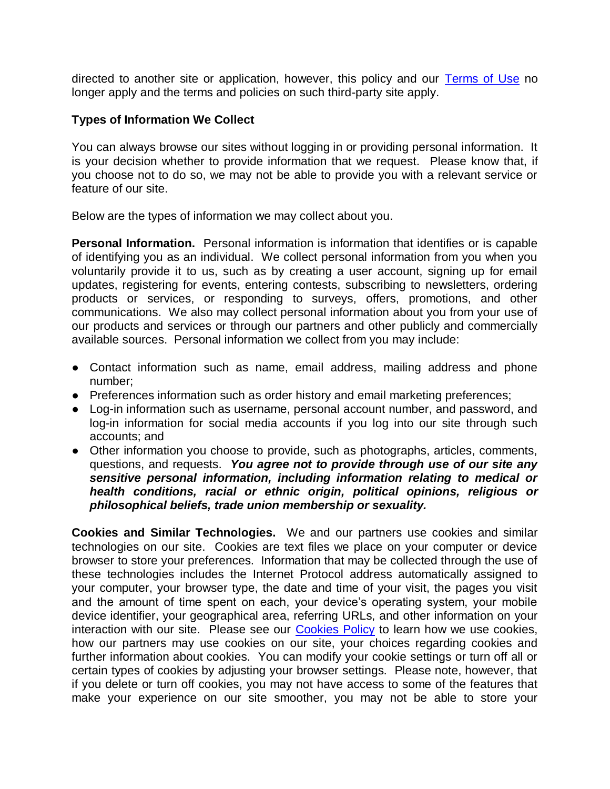directed to another site or application, however, this policy and our [Terms of Use](https://www.aeroflexusa.com/wp-content/uploads/2020/12/Aeroflex_Terms-of-Use_120920.pdf) no longer apply and the terms and policies on such third-party site apply.

#### **Types of Information We Collect**

You can always browse our sites without logging in or providing personal information. It is your decision whether to provide information that we request. Please know that, if you choose not to do so, we may not be able to provide you with a relevant service or feature of our site.

Below are the types of information we may collect about you.

**Personal Information.** Personal information is information that identifies or is capable of identifying you as an individual. We collect personal information from you when you voluntarily provide it to us, such as by creating a user account, signing up for email updates, registering for events, entering contests, subscribing to newsletters, ordering products or services, or responding to surveys, offers, promotions, and other communications. We also may collect personal information about you from your use of our products and services or through our partners and other publicly and commercially available sources. Personal information we collect from you may include:

- Contact information such as name, email address, mailing address and phone number;
- Preferences information such as order history and email marketing preferences;
- Log-in information such as username, personal account number, and password, and log-in information for social media accounts if you log into our site through such accounts; and
- Other information you choose to provide, such as photographs, articles, comments, questions, and requests. *You agree not to provide through use of our site any sensitive personal information, including information relating to medical or health conditions, racial or ethnic origin, political opinions, religious or philosophical beliefs, trade union membership or sexuality.*

**Cookies and Similar Technologies.** We and our partners use cookies and similar technologies on our site. Cookies are text files we place on your computer or device browser to store your preferences. Information that may be collected through the use of these technologies includes the Internet Protocol address automatically assigned to your computer, your browser type, the date and time of your visit, the pages you visit and the amount of time spent on each, your device's operating system, your mobile device identifier, your geographical area, referring URLs, and other information on your interaction with our site. Please see our **Cookies Policy** to learn how we use cookies, how our partners may use cookies on our site, your choices regarding cookies and further information about cookies. You can modify your cookie settings or turn off all or certain types of cookies by adjusting your browser settings. Please note, however, that if you delete or turn off cookies, you may not have access to some of the features that make your experience on our site smoother, you may not be able to store your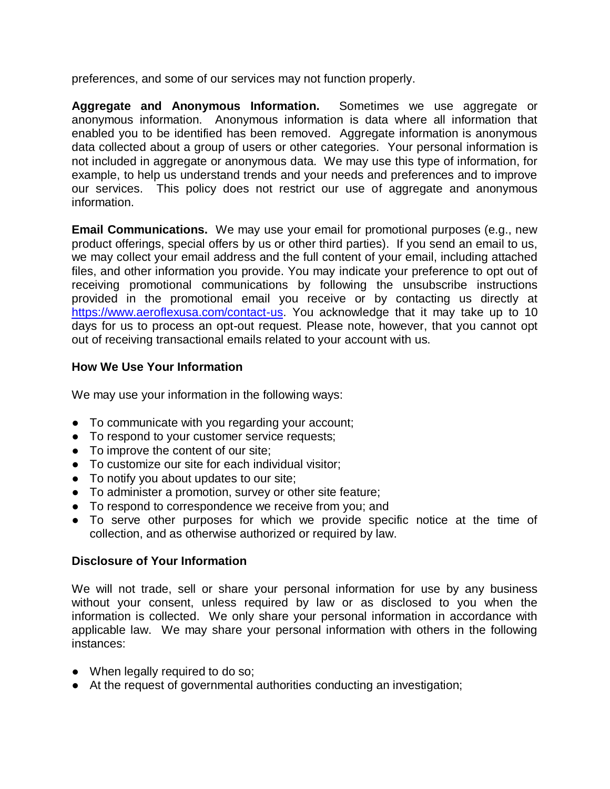preferences, and some of our services may not function properly.

**Aggregate and Anonymous Information.** Sometimes we use aggregate or anonymous information. Anonymous information is data where all information that enabled you to be identified has been removed. Aggregate information is anonymous data collected about a group of users or other categories. Your personal information is not included in aggregate or anonymous data. We may use this type of information, for example, to help us understand trends and your needs and preferences and to improve our services. This policy does not restrict our use of aggregate and anonymous information.

**Email Communications.** We may use your email for promotional purposes (e.g., new product offerings, special offers by us or other third parties). If you send an email to us, we may collect your email address and the full content of your email, including attached files, and other information you provide. You may indicate your preference to opt out of receiving promotional communications by following the unsubscribe instructions provided in the promotional email you receive or by contacting us directly at [https://www.aeroflexusa.com/contact-us.](https://www.aeroflexusa.com/contact-us) You acknowledge that it may take up to 10 days for us to process an opt-out request. Please note, however, that you cannot opt out of receiving transactional emails related to your account with us.

# **How We Use Your Information**

We may use your information in the following ways:

- To communicate with you regarding your account;
- To respond to your customer service requests;
- To improve the content of our site:
- To customize our site for each individual visitor:
- To notify you about updates to our site;
- To administer a promotion, survey or other site feature;
- To respond to correspondence we receive from you; and
- To serve other purposes for which we provide specific notice at the time of collection, and as otherwise authorized or required by law.

# **Disclosure of Your Information**

We will not trade, sell or share your personal information for use by any business without your consent, unless required by law or as disclosed to you when the information is collected. We only share your personal information in accordance with applicable law. We may share your personal information with others in the following instances:

- When legally required to do so;
- At the request of governmental authorities conducting an investigation;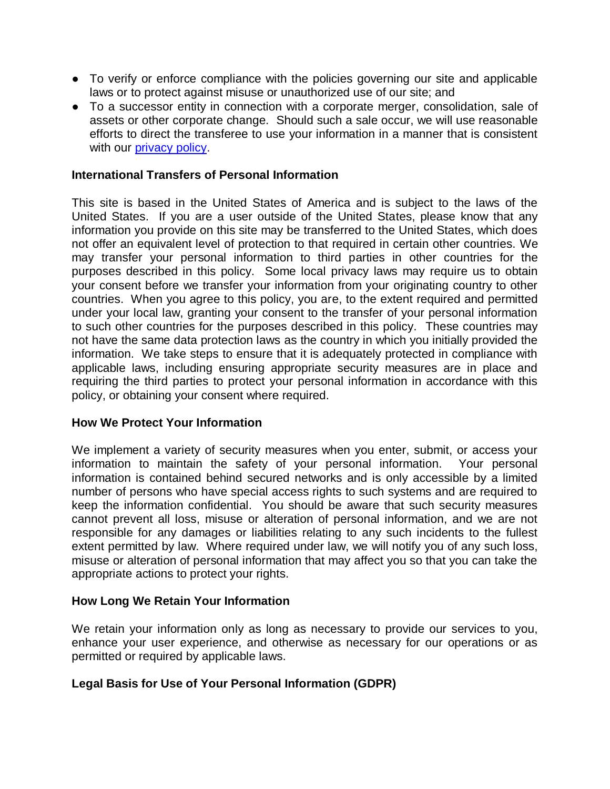- To verify or enforce compliance with the policies governing our site and applicable laws or to protect against misuse or unauthorized use of our site; and
- To a successor entity in connection with a corporate merger, consolidation, sale of assets or other corporate change. Should such a sale occur, we will use reasonable efforts to direct the transferee to use your information in a manner that is consistent with our [privacy policy.](https://www.aeroflexusa.com/wp-content/uploads/2020/12/Aeroflex_Privacy_Policy_120920.pdf)

#### **International Transfers of Personal Information**

This site is based in the United States of America and is subject to the laws of the United States. If you are a user outside of the United States, please know that any information you provide on this site may be transferred to the United States, which does not offer an equivalent level of protection to that required in certain other countries. We may transfer your personal information to third parties in other countries for the purposes described in this policy. Some local privacy laws may require us to obtain your consent before we transfer your information from your originating country to other countries. When you agree to this policy, you are, to the extent required and permitted under your local law, granting your consent to the transfer of your personal information to such other countries for the purposes described in this policy. These countries may not have the same data protection laws as the country in which you initially provided the information. We take steps to ensure that it is adequately protected in compliance with applicable laws, including ensuring appropriate security measures are in place and requiring the third parties to protect your personal information in accordance with this policy, or obtaining your consent where required.

#### **How We Protect Your Information**

We implement a variety of security measures when you enter, submit, or access your information to maintain the safety of your personal information. Your personal information is contained behind secured networks and is only accessible by a limited number of persons who have special access rights to such systems and are required to keep the information confidential. You should be aware that such security measures cannot prevent all loss, misuse or alteration of personal information, and we are not responsible for any damages or liabilities relating to any such incidents to the fullest extent permitted by law. Where required under law, we will notify you of any such loss, misuse or alteration of personal information that may affect you so that you can take the appropriate actions to protect your rights.

#### **How Long We Retain Your Information**

We retain your information only as long as necessary to provide our services to you, enhance your user experience, and otherwise as necessary for our operations or as permitted or required by applicable laws.

# **Legal Basis for Use of Your Personal Information (GDPR)**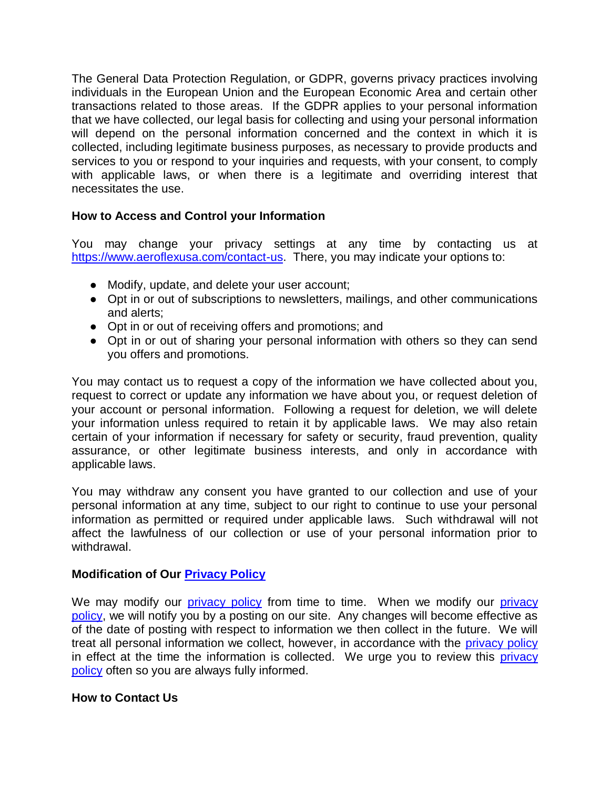The General Data Protection Regulation, or GDPR, governs privacy practices involving individuals in the European Union and the European Economic Area and certain other transactions related to those areas. If the GDPR applies to your personal information that we have collected, our legal basis for collecting and using your personal information will depend on the personal information concerned and the context in which it is collected, including legitimate business purposes, as necessary to provide products and services to you or respond to your inquiries and requests, with your consent, to comply with applicable laws, or when there is a legitimate and overriding interest that necessitates the use.

### **How to Access and Control your Information**

You may change your privacy settings at any time by contacting us at [https://www.aeroflexusa.com/contact-us.](https://www.aeroflexusa.com/contact-us) There, you may indicate your options to:

- Modify, update, and delete your user account;
- Opt in or out of subscriptions to newsletters, mailings, and other communications and alerts;
- Opt in or out of receiving offers and promotions; and
- Opt in or out of sharing your personal information with others so they can send you offers and promotions.

You may contact us to request a copy of the information we have collected about you, request to correct or update any information we have about you, or request deletion of your account or personal information. Following a request for deletion, we will delete your information unless required to retain it by applicable laws. We may also retain certain of your information if necessary for safety or security, fraud prevention, quality assurance, or other legitimate business interests, and only in accordance with applicable laws.

You may withdraw any consent you have granted to our collection and use of your personal information at any time, subject to our right to continue to use your personal information as permitted or required under applicable laws. Such withdrawal will not affect the lawfulness of our collection or use of your personal information prior to withdrawal.

#### **Modification of Our [Privacy Policy](https://www.aeroflexusa.com/wp-content/uploads/2020/12/Aeroflex_Privacy_Policy_120920.pdf)**

We may modify our [privacy policy](https://www.aeroflexusa.com/wp-content/uploads/2020/12/Aeroflex_Privacy_Policy_120920.pdf) from time to time. When we modify our privacy [policy,](https://www.aeroflexusa.com/wp-content/uploads/2020/12/Aeroflex_Privacy_Policy_120920.pdf) we will notify you by a posting on our site. Any changes will become effective as of the date of posting with respect to information we then collect in the future. We will treat all personal information we collect, however, in accordance with the [privacy policy](https://www.aeroflexusa.com/wp-content/uploads/2020/12/Aeroflex_Privacy_Policy_120920.pdf) in effect at the time the information is collected. We urge you to review this privacy [policy](https://www.aeroflexusa.com/wp-content/uploads/2020/12/Aeroflex_Privacy_Policy_120920.pdf) often so you are always fully informed.

#### **How to Contact Us**